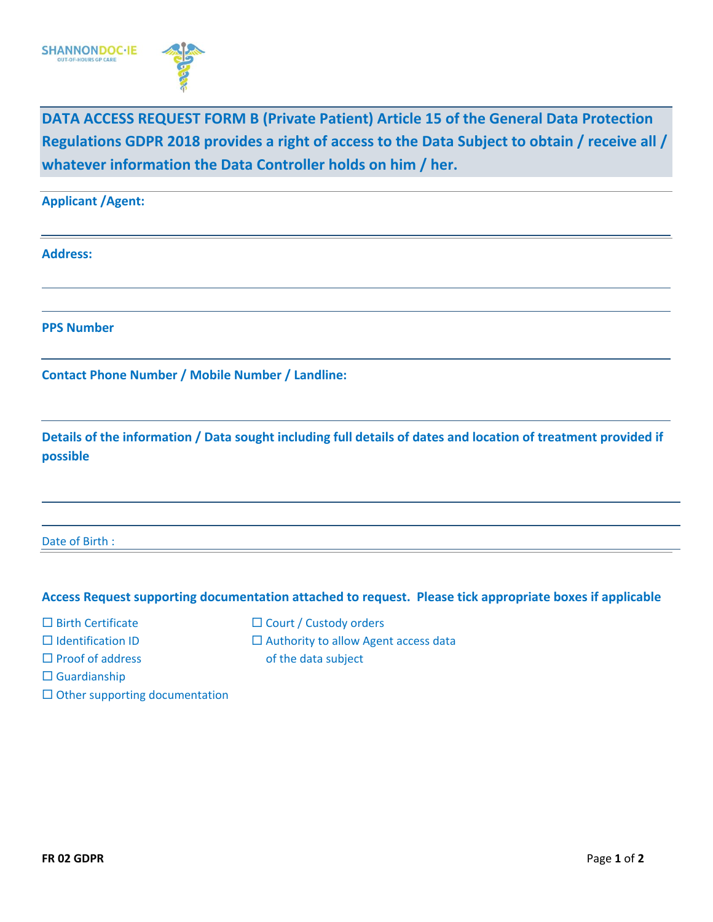

**DATA ACCESS REQUEST FORM B (Private Patient) Article 15 of the General Data Protection Regulations GDPR 2018 provides a right of access to the Data Subject to obtain / receive all / whatever information the Data Controller holds on him / her.**

**Applicant /Agent: Address: PPS Number Contact Phone Number / Mobile Number / Landline: Details of the information / Data sought including full details of dates and location of treatment provided if possible** Date of Birth : **Access Request supporting documentation attached to request. Please tick appropriate boxes if applicable**  $\Box$  Birth Certificate  $\Box$  Court / Custody orders

- 
- 
- $\square$  Guardianship
- $\square$  Other supporting documentation
- $\Box$  Identification ID  $\Box$  Authority to allow Agent access data
- $\Box$  Proof of address of the data subject